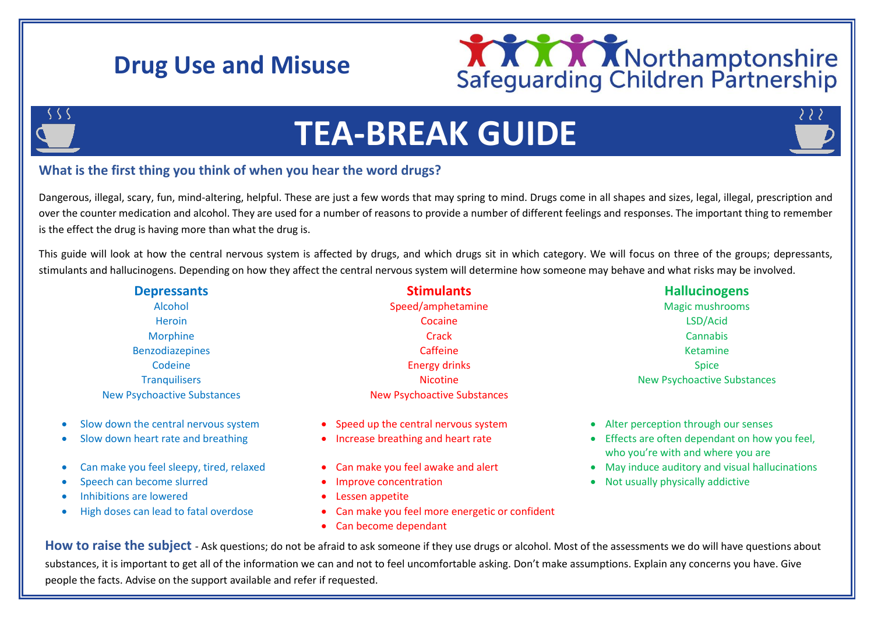## **Drug Use and Misuse**





# **TEA-BREAK GUIDE**

### **What is the first thing you think of when you hear the word drugs?**

Dangerous, illegal, scary, fun, mind-altering, helpful. These are just a few words that may spring to mind. Drugs come in all shapes and sizes, legal, illegal, prescription and over the counter medication and alcohol. They are used for a number of reasons to provide a number of different feelings and responses. The important thing to remember is the effect the drug is having more than what the drug is.

This guide will look at how the central nervous system is affected by drugs, and which drugs sit in which category. We will focus on three of the groups; depressants, stimulants and hallucinogens. Depending on how they affect the central nervous system will determine how someone may behave and what risks may be involved.

| <b>Depressants</b>                   | <b>Stimulants</b>                     | <b>Hallucinogens</b>                |
|--------------------------------------|---------------------------------------|-------------------------------------|
| Alcohol                              | Speed/amphetamine                     | Magic mushrooms                     |
| <b>Heroin</b>                        | Cocaine                               | LSD/Acid                            |
| <b>Morphine</b>                      | Crack                                 | Cannabis                            |
| <b>Benzodiazepines</b>               | Caffeine                              | Ketamine                            |
| Codeine                              | <b>Energy drinks</b>                  | <b>Spice</b>                        |
| <b>Tranguilisers</b>                 | <b>Nicotine</b>                       | <b>New Psychoactive Substances</b>  |
| <b>New Psychoactive Substances</b>   | <b>New Psychoactive Substances</b>    |                                     |
| Slow down the central nervous system | • Speed up the central nervous system | Alter perception through our senses |

- 
- 
- 
- 
- Inhibitions are lowered **Example 20** and the Lessen appetite
- 
- 
- 
- 
- 
- 
- High doses can lead to fatal overdose **Can make you feel more energetic or confident** 
	- Can become dependant

- Slow down heart rate and breathing **Increase breathing and heart rate Effects are often dependant on how you feel,** who you're with and where you are
- Can make you feel sleepy, tired, relaxed Can make you feel awake and alert May induce auditory and visual hallucinations
	- Speech can become slurred **Improve concentration Improve concentration Improve Concentration Improve Concentration**

How to raise the subject - Ask questions; do not be afraid to ask someone if they use drugs or alcohol. Most of the assessments we do will have questions about substances, it is important to get all of the information we can and not to feel uncomfortable asking. Don't make assumptions. Explain any concerns you have. Give people the facts. Advise on the support available and refer if requested.